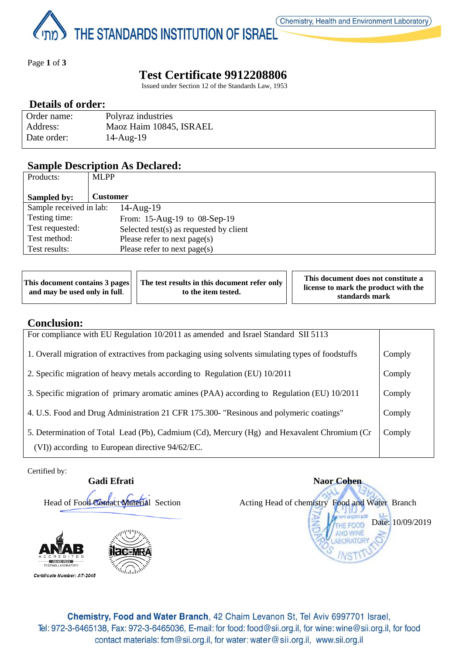THE STANDARDS INSTITUTION OF ISRAEL

Page **1** of **3**

# **Test Certificate 9912208806**

Issued under Section 12 of the Standards Law, 1953

## **Details of order:**

| Order name: | Polyraz industries      |
|-------------|-------------------------|
| Address:    | Maoz Haim 10845, ISRAEL |
| Date order: | 14-Aug-19               |

## **Sample Description As Declared:**

| Products:               | <b>MLPP</b>                             |
|-------------------------|-----------------------------------------|
|                         |                                         |
| Sampled by:             | Customer                                |
| Sample received in lab: | $14$ -Aug- $19$                         |
| Testing time:           | From: 15-Aug-19 to 08-Sep-19            |
| Test requested:         | Selected test(s) as requested by client |
| Test method:            | Please refer to next page(s)            |
| Test results:           | Please refer to next $page(s)$          |

| This document contains $3$ pages $  \cdot  $<br>and may be used only in full. | The test results in this document refer only<br>to the item tested. | This document does not constitute a<br>license to mark the product with the<br>standards mark |
|-------------------------------------------------------------------------------|---------------------------------------------------------------------|-----------------------------------------------------------------------------------------------|
|-------------------------------------------------------------------------------|---------------------------------------------------------------------|-----------------------------------------------------------------------------------------------|

## **Conclusion:**

| For compliance with EU Regulation 10/2011 as amended and Israel Standard SII 5113                                                              |        |
|------------------------------------------------------------------------------------------------------------------------------------------------|--------|
| 1. Overall migration of extractives from packaging using solvents simulating types of foodstuffs                                               | Comply |
| 2. Specific migration of heavy metals according to Regulation (EU) 10/2011                                                                     | Comply |
| 3. Specific migration of primary aromatic amines (PAA) according to Regulation (EU) 10/2011                                                    | Comply |
| 4. U.S. Food and Drug Administration 21 CFR 175.300- "Resinous and polymeric coatings"                                                         | Comply |
| 5. Determination of Total Lead (Pb), Cadmium (Cd), Mercury (Hg) and Hexavalent Chromium (Cr<br>(VI)) according to European directive 94/62/EC. | Comply |

Certified by:







Chemistry, Food and Water Branch, 42 Chaim Levanon St, Tel Aviv 6997701 Israel, Tel: 972-3-6465138, Fax: 972-3-6465036, E-mail: for food: food@sii.org.il, for wine: wine@sii.org.il, for food contact materials: fcm@sii.org.il, for water: water@sii.org.il, www.sii.org.il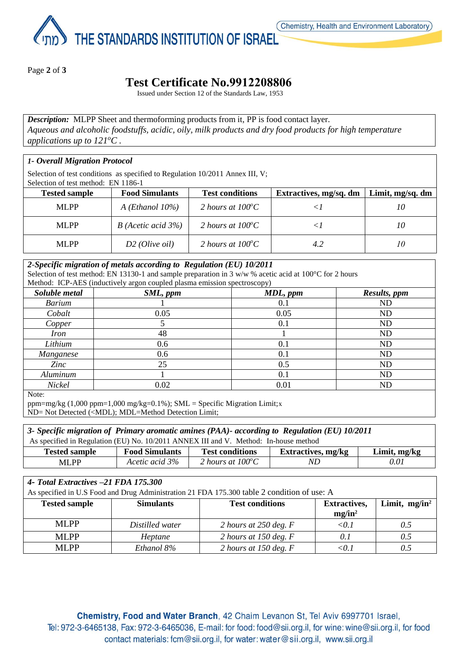THE STANDARDS INSTITUTION OF ISRAEL

Page **2** of **3**

# **Test Certificate No.9912208806**

Issued under Section 12 of the Standards Law, 1953

*Description:* MLPP Sheet and thermoforming products from it, PP is food contact layer. *Aqueous and alcoholic foodstuffs, acidic, oily, milk products and dry food products for high temperature applications up to 121<sup>o</sup>C .*

### *1- Overall Migration Protocol*

Selection of test conditions as specified to Regulation 10/2011 Annex III, V;

Selection of test method: EN 1186-1

| <b>Tested sample</b> | <b>Food Simulants</b>      | <b>Test conditions</b>     | Extractives, mg/sq. dm | Limit, mg/sq. dm |
|----------------------|----------------------------|----------------------------|------------------------|------------------|
| MLPP                 | A (Ethanol $10\%$ )        | 2 hours at $100^{\circ}$ C |                        |                  |
| ML PP                | $B$ (Acetic acid 3%)       | 2 hours at $100^{\circ}$ C |                        | 10               |
| MLPP                 | D <sub>2</sub> (Olive oil) | 2 hours at $100^{\circ}$ C | 4.2                    | 10               |

#### *2-Specific migration of metals according to Regulation (EU) 10/2011*

Selection of test method: EN 13130-1 and sample preparation in 3 w/w % acetic acid at 100 °C for 2 hours Method: ICP-AES (inductively argon coupled plasma emission spectroscopy)

| Soluble metal | SML, ppm | MDL, ppm | Results, ppm |  |  |
|---------------|----------|----------|--------------|--|--|
| <b>Barium</b> |          | 0.1      | <b>ND</b>    |  |  |
| Cobalt        | 0.05     | 0.05     | <b>ND</b>    |  |  |
| Copper        |          | 0.1      | <b>ND</b>    |  |  |
| <i>Iron</i>   | 48       |          | <b>ND</b>    |  |  |
| Lithium       | 0.6      | 0.1      | <b>ND</b>    |  |  |
| Manganese     | 0.6      | 0.1      | <b>ND</b>    |  |  |
| Zinc          | 25       | 0.5      | <b>ND</b>    |  |  |
| Aluminum      |          | 0.1      | <b>ND</b>    |  |  |
| Nickel        | 0.02     | 0.01     | <b>ND</b>    |  |  |
| $\mathbf{v}$  |          |          |              |  |  |

Note:

ppm=mg/kg (1,000 ppm=1,000 mg/kg=0.1%); SML = Specific Migration Limit;x

ND= Not Detected (<MDL); MDL=Method Detection Limit;

#### *3- Specific migration of Primary aromatic amines (PAA)- according to Regulation (EU) 10/2011* As specified in Regulation (EU) No. 10/2011 ANNEX III and V. Method: In-house method

| <b>Tested sample</b> | <b>Food Simulants</b> | <b>Test conditions</b>        | . mg/kg<br>"xtractives. | <i>L</i> imit<br>. mø/kø |
|----------------------|-----------------------|-------------------------------|-------------------------|--------------------------|
| <b>MLF</b><br>DD     | 3%<br>Acetic acid     | $100^{\circ}$ C<br>2 hours at | IV L                    | 0.01                     |

| 4- Total Extractives -21 FDA 175.300 |                  |                                                                                             |                     |                  |
|--------------------------------------|------------------|---------------------------------------------------------------------------------------------|---------------------|------------------|
|                                      |                  | As specified in U.S Food and Drug Administration 21 FDA 175.300 table 2 condition of use: A |                     |                  |
| <b>Tested sample</b>                 | <b>Simulants</b> | <b>Test conditions</b>                                                                      | <b>Extractives,</b> | Limit, $mg/in^2$ |
|                                      |                  |                                                                                             | $mg/in^2$           |                  |
| <b>MLPP</b>                          | Distilled water  | 2 hours at 250 deg. $F$                                                                     | $\langle 0.1$       | 0.5              |
| <b>MLPP</b>                          | Heptane          | 2 hours at 150 deg. $F$                                                                     | 0.1                 | 0.5              |
| <b>MLPP</b>                          | Ethanol 8%       | 2 hours at 150 deg. $F$                                                                     | < 0.1               | 0.5              |

Chemistry, Food and Water Branch, 42 Chaim Levanon St, Tel Aviv 6997701 Israel, Tel: 972-3-6465138, Fax: 972-3-6465036, E-mail: for food: food@sii.org.il, for wine: wine@sii.org.il, for food contact materials: fcm@sii.org.il, for water: water@sii.org.il, www.sii.org.il